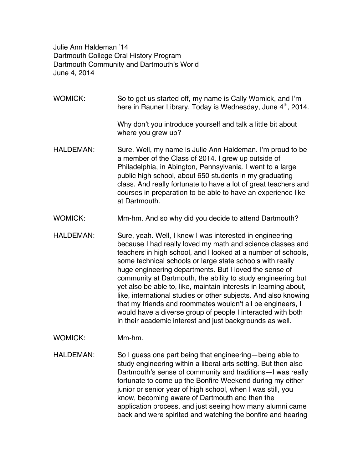Julie Ann Haldeman '14 Dartmouth College Oral History Program Dartmouth Community and Dartmouth's World June 4, 2014

- WOMICK: So to get us started off, my name is Cally Womick, and I'm here in Rauner Library. Today is Wednesday, June 4<sup>th</sup>, 2014. Why don't you introduce yourself and talk a little bit about where you grew up? HALDEMAN: Sure. Well, my name is Julie Ann Haldeman. I'm proud to be a member of the Class of 2014. I grew up outside of Philadelphia, in Abington, Pennsylvania. I went to a large public high school, about 650 students in my graduating class. And really fortunate to have a lot of great teachers and courses in preparation to be able to have an experience like at Dartmouth.
- WOMICK: Mm-hm. And so why did you decide to attend Dartmouth?
- HALDEMAN: Sure, yeah. Well, I knew I was interested in engineering because I had really loved my math and science classes and teachers in high school, and I looked at a number of schools, some technical schools or large state schools with really huge engineering departments. But I loved the sense of community at Dartmouth, the ability to study engineering but yet also be able to, like, maintain interests in learning about, like, international studies or other subjects. And also knowing that my friends and roommates wouldn't all be engineers, I would have a diverse group of people I interacted with both in their academic interest and just backgrounds as well.
- WOMICK: Mm-hm.
- HALDEMAN: So I guess one part being that engineering—being able to study engineering within a liberal arts setting. But then also Dartmouth's sense of community and traditions—I was really fortunate to come up the Bonfire Weekend during my either junior or senior year of high school, when I was still, you know, becoming aware of Dartmouth and then the application process, and just seeing how many alumni came back and were spirited and watching the bonfire and hearing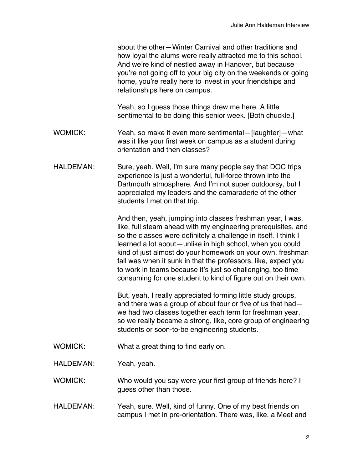|                  | about the other–Winter Carnival and other traditions and<br>how loyal the alums were really attracted me to this school.<br>And we're kind of nestled away in Hanover, but because<br>you're not going off to your big city on the weekends or going<br>home, you're really here to invest in your friendships and<br>relationships here on campus.                                                                                                                                                                         |
|------------------|-----------------------------------------------------------------------------------------------------------------------------------------------------------------------------------------------------------------------------------------------------------------------------------------------------------------------------------------------------------------------------------------------------------------------------------------------------------------------------------------------------------------------------|
|                  | Yeah, so I guess those things drew me here. A little<br>sentimental to be doing this senior week. [Both chuckle.]                                                                                                                                                                                                                                                                                                                                                                                                           |
| <b>WOMICK:</b>   | Yeah, so make it even more sentimental—[laughter]—what<br>was it like your first week on campus as a student during<br>orientation and then classes?                                                                                                                                                                                                                                                                                                                                                                        |
| <b>HALDEMAN:</b> | Sure, yeah. Well, I'm sure many people say that DOC trips<br>experience is just a wonderful, full-force thrown into the<br>Dartmouth atmosphere. And I'm not super outdoorsy, but I<br>appreciated my leaders and the camaraderie of the other<br>students I met on that trip.                                                                                                                                                                                                                                              |
|                  | And then, yeah, jumping into classes freshman year, I was,<br>like, full steam ahead with my engineering prerequisites, and<br>so the classes were definitely a challenge in itself. I think I<br>learned a lot about—unlike in high school, when you could<br>kind of just almost do your homework on your own, freshman<br>fall was when it sunk in that the professors, like, expect you<br>to work in teams because it's just so challenging, too time<br>consuming for one student to kind of figure out on their own. |
|                  | But, yeah, I really appreciated forming little study groups,<br>and there was a group of about four or five of us that had-<br>we had two classes together each term for freshman year,<br>so we really became a strong, like, core group of engineering<br>students or soon-to-be engineering students.                                                                                                                                                                                                                    |
| <b>WOMICK:</b>   | What a great thing to find early on.                                                                                                                                                                                                                                                                                                                                                                                                                                                                                        |
| HALDEMAN:        | Yeah, yeah.                                                                                                                                                                                                                                                                                                                                                                                                                                                                                                                 |
| <b>WOMICK:</b>   | Who would you say were your first group of friends here? I<br>guess other than those.                                                                                                                                                                                                                                                                                                                                                                                                                                       |
| <b>HALDEMAN:</b> | Yeah, sure. Well, kind of funny. One of my best friends on<br>campus I met in pre-orientation. There was, like, a Meet and                                                                                                                                                                                                                                                                                                                                                                                                  |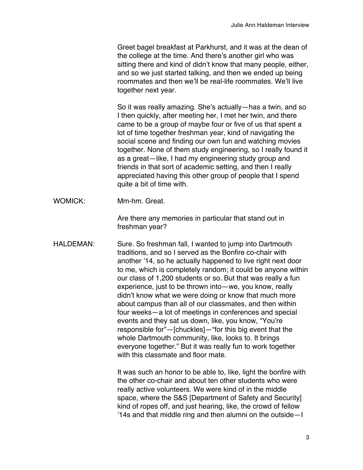Greet bagel breakfast at Parkhurst, and it was at the dean of the college at the time. And there's another girl who was sitting there and kind of didn't know that many people, either, and so we just started talking, and then we ended up being roommates and then we'll be real-life roommates. We'll live together next year.

So it was really amazing. She's actually—has a twin, and so I then quickly, after meeting her, I met her twin, and there came to be a group of maybe four or five of us that spent a lot of time together freshman year, kind of navigating the social scene and finding our own fun and watching movies together. None of them study engineering, so I really found it as a great—like, I had my engineering study group and friends in that sort of academic setting, and then I really appreciated having this other group of people that I spend quite a bit of time with.

WOMICK: Mm-hm. Great.

Are there any memories in particular that stand out in freshman year?

HALDEMAN: Sure. So freshman fall, I wanted to jump into Dartmouth traditions, and so I served as the Bonfire co-chair with another '14, so he actually happened to live right next door to me, which is completely random; it could be anyone within our class of 1,200 students or so. But that was really a fun experience, just to be thrown into—we, you know, really didn't know what we were doing or know that much more about campus than all of our classmates, and then within four weeks—a lot of meetings in conferences and special events and they sat us down, like, you know, "You're responsible for"—[chuckles]—"for this big event that the whole Dartmouth community, like, looks to. It brings everyone together." But it was really fun to work together with this classmate and floor mate.

> It was such an honor to be able to, like, light the bonfire with the other co-chair and about ten other students who were really active volunteers. We were kind of in the middle space, where the S&S [Department of Safety and Security] kind of ropes off, and just hearing, like, the crowd of fellow '14s and that middle ring and then alumni on the outside—I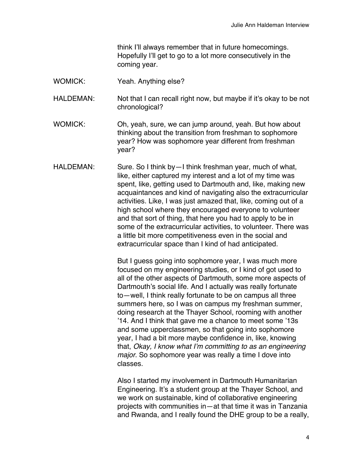think I'll always remember that in future homecomings. Hopefully I'll get to go to a lot more consecutively in the coming year.

WOMICK: Yeah. Anything else?

HALDEMAN: Not that I can recall right now, but maybe if it's okay to be not chronological?

- WOMICK: Oh, yeah, sure, we can jump around, yeah. But how about thinking about the transition from freshman to sophomore year? How was sophomore year different from freshman year?
- HALDEMAN: Sure. So I think by I think freshman year, much of what, like, either captured my interest and a lot of my time was spent, like, getting used to Dartmouth and, like, making new acquaintances and kind of navigating also the extracurricular activities. Like, I was just amazed that, like, coming out of a high school where they encouraged everyone to volunteer and that sort of thing, that here you had to apply to be in some of the extracurricular activities, to volunteer. There was a little bit more competitiveness even in the social and extracurricular space than I kind of had anticipated.

But I guess going into sophomore year, I was much more focused on my engineering studies, or I kind of got used to all of the other aspects of Dartmouth, some more aspects of Dartmouth's social life. And I actually was really fortunate to—well, I think really fortunate to be on campus all three summers here, so I was on campus my freshman summer, doing research at the Thayer School, rooming with another '14. And I think that gave me a chance to meet some '13s and some upperclassmen, so that going into sophomore year, I had a bit more maybe confidence in, like, knowing that, *Okay, I know what I'm committing to as an engineering major*. So sophomore year was really a time I dove into classes.

Also I started my involvement in Dartmouth Humanitarian Engineering. It's a student group at the Thayer School, and we work on sustainable, kind of collaborative engineering projects with communities in—at that time it was in Tanzania and Rwanda, and I really found the DHE group to be a really,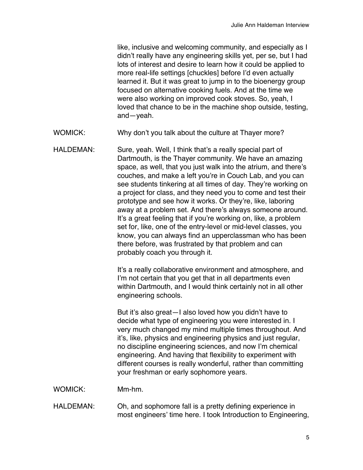like, inclusive and welcoming community, and especially as I didn't really have any engineering skills yet, per se, but I had lots of interest and desire to learn how it could be applied to more real-life settings [chuckles] before I'd even actually learned it. But it was great to jump in to the bioenergy group focused on alternative cooking fuels. And at the time we were also working on improved cook stoves. So, yeah, I loved that chance to be in the machine shop outside, testing, and—yeah.

- WOMICK: Why don't you talk about the culture at Thayer more?
- HALDEMAN: Sure, yeah. Well, I think that's a really special part of Dartmouth, is the Thayer community. We have an amazing space, as well, that you just walk into the atrium, and there's couches, and make a left you're in Couch Lab, and you can see students tinkering at all times of day. They're working on a project for class, and they need you to come and test their prototype and see how it works. Or they're, like, laboring away at a problem set. And there's always someone around. It's a great feeling that if you're working on, like, a problem set for, like, one of the entry-level or mid-level classes, you know, you can always find an upperclassman who has been there before, was frustrated by that problem and can probably coach you through it.

It's a really collaborative environment and atmosphere, and I'm not certain that you get that in all departments even within Dartmouth, and I would think certainly not in all other engineering schools.

But it's also great—I also loved how you didn't have to decide what type of engineering you were interested in. I very much changed my mind multiple times throughout. And it's, like, physics and engineering physics and just regular, no discipline engineering sciences, and now I'm chemical engineering. And having that flexibility to experiment with different courses is really wonderful, rather than committing your freshman or early sophomore years.

WOMICK: Mm-hm.

HALDEMAN: Oh, and sophomore fall is a pretty defining experience in most engineers' time here. I took Introduction to Engineering,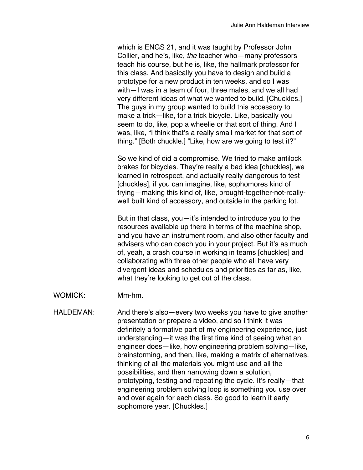which is ENGS 21, and it was taught by Professor John Collier, and he's, like, *the* teacher who—many professors teach his course, but he is, like, the hallmark professor for this class. And basically you have to design and build a prototype for a new product in ten weeks, and so I was with—I was in a team of four, three males, and we all had very different ideas of what we wanted to build. [Chuckles.] The guys in my group wanted to build this accessory to make a trick—like, for a trick bicycle. Like, basically you seem to do, like, pop a wheelie or that sort of thing. And I was, like, "I think that's a really small market for that sort of thing." [Both chuckle.] "Like, how are we going to test it?"

So we kind of did a compromise. We tried to make antilock brakes for bicycles. They're really a bad idea [chuckles], we learned in retrospect, and actually really dangerous to test [chuckles], if you can imagine, like, sophomores kind of trying—making this kind of, like, brought-together-not-reallywell-built-kind of accessory, and outside in the parking lot.

But in that class, you—it's intended to introduce you to the resources available up there in terms of the machine shop, and you have an instrument room, and also other faculty and advisers who can coach you in your project. But it's as much of, yeah, a crash course in working in teams [chuckles] and collaborating with three other people who all have very divergent ideas and schedules and priorities as far as, like, what they're looking to get out of the class.

WOMICK: Mm-hm.

HALDEMAN: And there's also—every two weeks you have to give another presentation or prepare a video, and so I think it was definitely a formative part of my engineering experience, just understanding—it was the first time kind of seeing what an engineer does—like, how engineering problem solving—like, brainstorming, and then, like, making a matrix of alternatives, thinking of all the materials you might use and all the possibilities, and then narrowing down a solution, prototyping, testing and repeating the cycle. It's really—that engineering problem solving loop is something you use over and over again for each class. So good to learn it early sophomore year. [Chuckles.]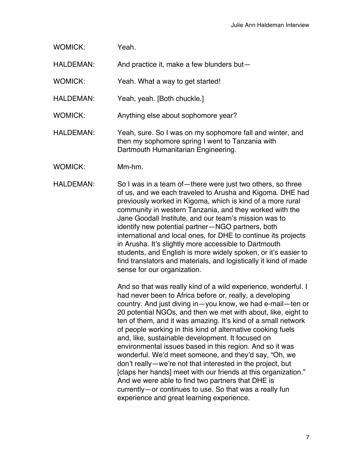| Yeah. |
|-------|
|       |

HALDEMAN: And practice it, make a few blunders but-

WOMICK: Yeah. What a way to get started!

HALDEMAN: Yeah, yeah. [Both chuckle.]

WOMICK: Anything else about sophomore year?

HALDEMAN: Yeah, sure. So I was on my sophomore fall and winter, and then my sophomore spring I went to Tanzania with Dartmouth Humanitarian Engineering.

WOMICK: Mm-hm.

HALDEMAN: So I was in a team of—there were just two others, so three of us, and we each traveled to Arusha and Kigoma. DHE had previously worked in Kigoma, which is kind of a more rural community in western Tanzania, and they worked with the Jane Goodall Institute, and our team's mission was to identify new potential partner—NGO partners, both international and local ones, for DHE to continue its projects in Arusha. It's slightly more accessible to Dartmouth students, and English is more widely spoken, or it's easier to find translators and materials, and logistically it kind of made sense for our organization.

> And so that was really kind of a wild experience, wonderful. I had never been to Africa before or, really, a developing country. And just diving in—you know, we had e-mail—ten or 20 potential NGOs, and then we met with about, like, eight to ten of them, and it was amazing. It's kind of a small network of people working in this kind of alternative cooking fuels and, like, sustainable development. It focused on environmental issues based in this region. And so it was wonderful. We'd meet someone, and they'd say, "Oh, we don't really—we're not that interested in the project, but [claps her hands] meet with our friends at this organization." And we were able to find two partners that DHE is currently—or continues to use. So that was a really fun experience and great learning experience.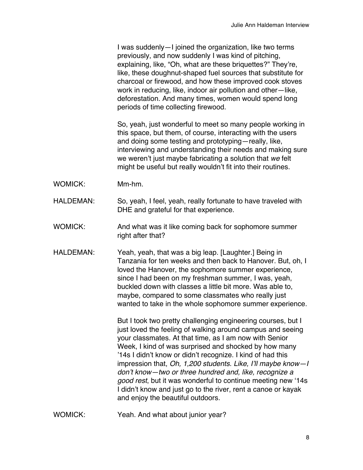I was suddenly—I joined the organization, like two terms previously, and now suddenly I was kind of pitching, explaining, like, "Oh, what are these briquettes?" They're, like, these doughnut-shaped fuel sources that substitute for charcoal or firewood, and how these improved cook stoves work in reducing, like, indoor air pollution and other—like, deforestation. And many times, women would spend long periods of time collecting firewood.

So, yeah, just wonderful to meet so many people working in this space, but them, of course, interacting with the users and doing some testing and prototyping—really, like, interviewing and understanding their needs and making sure we weren't just maybe fabricating a solution that *we* felt might be useful but really wouldn't fit into their routines.

- WOMICK: Mm-hm.
- HALDEMAN: So, yeah, I feel, yeah, really fortunate to have traveled with DHE and grateful for that experience.
- WOMICK: And what was it like coming back for sophomore summer right after that?
- HALDEMAN: Yeah, yeah, that was a big leap. [Laughter.] Being in Tanzania for ten weeks and then back to Hanover. But, oh, I loved the Hanover, the sophomore summer experience, since I had been on my freshman summer, I was, yeah, buckled down with classes a little bit more. Was able to, maybe, compared to some classmates who really just wanted to take in the whole sophomore summer experience.

But I took two pretty challenging engineering courses, but I just loved the feeling of walking around campus and seeing your classmates. At that time, as I am now with Senior Week, I kind of was surprised and shocked by how many '14s I didn't know or didn't recognize. I kind of had this impression that, *Oh, 1,200 students. Like, I'll maybe know—I don't know—two or three hundred and, like, recognize a good rest*, but it was wonderful to continue meeting new '14s I didn't know and just go to the river, rent a canoe or kayak and enjoy the beautiful outdoors.

WOMICK: Yeah. And what about junior year?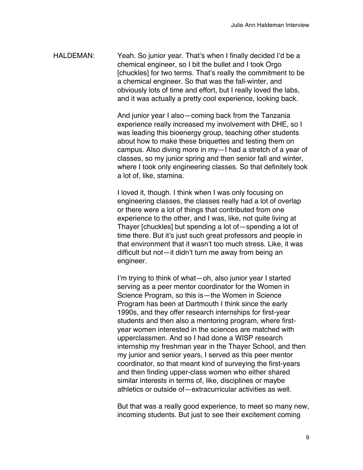HALDEMAN: Yeah. So junior year. That's when I finally decided I'd be a chemical engineer, so I bit the bullet and I took Orgo [chuckles] for two terms. That's really the commitment to be a chemical engineer. So that was the fall-winter, and obviously lots of time and effort, but I really loved the labs, and it was actually a pretty cool experience, looking back.

> And junior year I also—coming back from the Tanzania experience really increased my involvement with DHE, so I was leading this bioenergy group, teaching other students about how to make these briquettes and testing them on campus. Also diving more in my—I had a stretch of a year of classes, so my junior spring and then senior fall and winter, where I took only engineering classes. So that definitely took a lot of, like, stamina.

I loved it, though. I think when I was only focusing on engineering classes, the classes really had a lot of overlap or there were a lot of things that contributed from one experience to the other, and I was, like, not quite living at Thayer [chuckles] but spending a lot of—spending a lot of time there. But it's just such great professors and people in that environment that it wasn't too much stress. Like, it was difficult but not—it didn't turn me away from being an engineer.

I'm trying to think of what—oh, also junior year I started serving as a peer mentor coordinator for the Women in Science Program, so this is—the Women in Science Program has been at Dartmouth I think since the early 1990s, and they offer research internships for first-year students and then also a mentoring program, where firstyear women interested in the sciences are matched with upperclassmen. And so I had done a WISP research internship my freshman year in the Thayer School, and then my junior and senior years, I served as this peer mentor coordinator, so that meant kind of surveying the first-years and then finding upper-class women who either shared similar interests in terms of, like, disciplines or maybe athletics or outside of—extracurricular activities as well.

But that was a really good experience, to meet so many new, incoming students. But just to see their excitement coming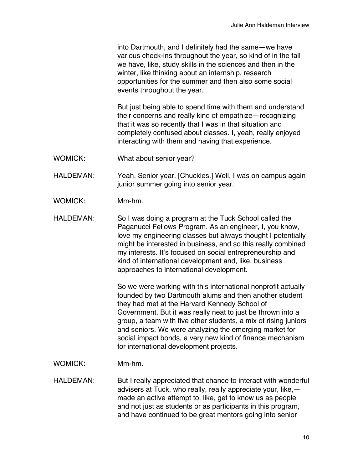into Dartmouth, and I definitely had the same—we have various check-ins throughout the year, so kind of in the fall we have, like, study skills in the sciences and then in the winter, like thinking about an internship, research opportunities for the summer and then also some social events throughout the year.

But just being able to spend time with them and understand their concerns and really kind of empathize—recognizing that it was so recently that I was in that situation and completely confused about classes. I, yeah, really enjoyed interacting with them and having that experience.

WOMICK: What about senior year?

HALDEMAN: Yeah. Senior year. [Chuckles.] Well, I was on campus again junior summer going into senior year.

- WOMICK: Mm-hm.
- HALDEMAN: So I was doing a program at the Tuck School called the Paganucci Fellows Program. As an engineer, I, you know, love my engineering classes but always thought I potentially might be interested in business, and so this really combined my interests. It's focused on social entrepreneurship and kind of international development and, like, business approaches to international development.

So we were working with this international nonprofit actually founded by two Dartmouth alums and then another student they had met at the Harvard Kennedy School of Government. But it was really neat to just be thrown into a group, a team with five other students, a mix of rising juniors and seniors. We were analyzing the emerging market for social impact bonds, a very new kind of finance mechanism for international development projects.

WOMICK: Mm-hm.

HALDEMAN: But I really appreciated that chance to interact with wonderful advisers at Tuck, who really, really appreciate your, like, made an active attempt to, like, get to know us as people and not just as students or as participants in this program, and have continued to be great mentors going into senior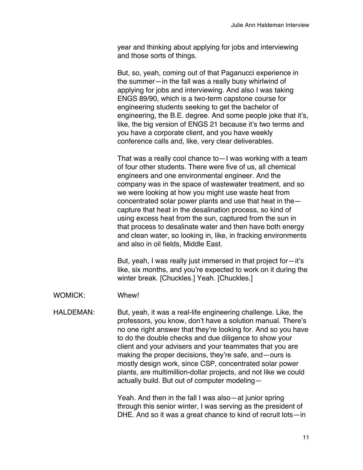year and thinking about applying for jobs and interviewing and those sorts of things.

But, so, yeah, coming out of that Paganucci experience in the summer—in the fall was a really busy whirlwind of applying for jobs and interviewing. And also I was taking ENGS 89/90, which is a two-term capstone course for engineering students seeking to get the bachelor of engineering, the B.E. degree. And some people joke that it's, like, the big version of ENGS 21 because it's two terms and you have a corporate client, and you have weekly conference calls and, like, very clear deliverables.

That was a really cool chance to—I was working with a team of four other students. There were five of us, all chemical engineers and one environmental engineer. And the company was in the space of wastewater treatment, and so we were looking at how you might use waste heat from concentrated solar power plants and use that heat in the capture that heat in the desalination process, so kind of using excess heat from the sun, captured from the sun in that process to desalinate water and then have both energy and clean water, so looking in, like, in fracking environments and also in oil fields, Middle East.

But, yeah, I was really just immersed in that project for—it's like, six months, and you're expected to work on it during the winter break. [Chuckles.] Yeah. [Chuckles.]

WOMICK: Whew!

## HALDEMAN: But, yeah, it was a real-life engineering challenge. Like, the professors, you know, don't have a solution manual. There's no one right answer that they're looking for. And so you have to do the double checks and due diligence to show your client and your advisers and your teammates that you are making the proper decisions, they're safe, and—ours is mostly design work, since CSP, concentrated solar power plants, are multimillion-dollar projects, and not like we could actually build. But out of computer modeling—

Yeah. And then in the fall I was also—at junior spring through this senior winter, I was serving as the president of DHE. And so it was a great chance to kind of recruit lots—in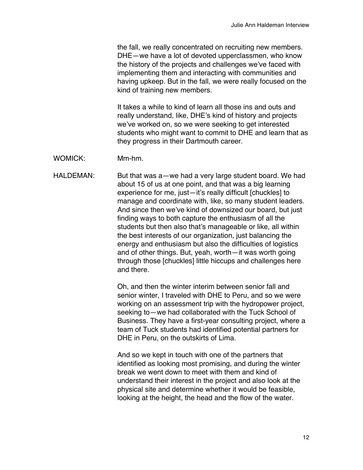the fall, we really concentrated on recruiting new members. DHE—we have a lot of devoted upperclassmen, who know the history of the projects and challenges we've faced with implementing them and interacting with communities and having upkeep. But in the fall, we were really focused on the kind of training new members.

It takes a while to kind of learn all those ins and outs and really understand, like, DHE's kind of history and projects we've worked on, so we were seeking to get interested students who might want to commit to DHE and learn that as they progress in their Dartmouth career.

WOMICK: Mm-hm.

HALDEMAN: But that was a—we had a very large student board. We had about 15 of us at one point, and that was a big learning experience for me, just—it's really difficult [chuckles] to manage and coordinate with, like, so many student leaders. And since then we've kind of downsized our board, but just finding ways to both capture the enthusiasm of all the students but then also that's manageable or like, all within the best interests of our organization, just balancing the energy and enthusiasm but also the difficulties of logistics and of other things. But, yeah, worth—it was worth going through those [chuckles] little hiccups and challenges here and there.

> Oh, and then the winter interim between senior fall and senior winter, I traveled with DHE to Peru, and so we were working on an assessment trip with the hydropower project, seeking to—we had collaborated with the Tuck School of Business. They have a first-year consulting project, where a team of Tuck students had identified potential partners for DHE in Peru, on the outskirts of Lima.

And so we kept in touch with one of the partners that identified as looking most promising, and during the winter break we went down to meet with them and kind of understand their interest in the project and also look at the physical site and determine whether it would be feasible, looking at the height, the head and the flow of the water.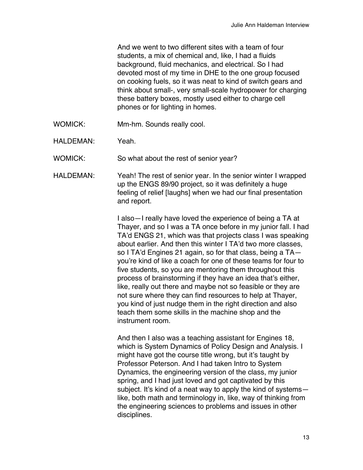And we went to two different sites with a team of four students, a mix of chemical and, like, I had a fluids background, fluid mechanics, and electrical. So I had devoted most of my time in DHE to the one group focused on cooking fuels, so it was neat to kind of switch gears and think about small-, very small-scale hydropower for charging these battery boxes, mostly used either to charge cell phones or for lighting in homes.

- WOMICK: Mm-hm. Sounds really cool.
- HALDEMAN: Yeah.

WOMICK: So what about the rest of senior year?

HALDEMAN: Yeah! The rest of senior year. In the senior winter I wrapped up the ENGS 89/90 project, so it was definitely a huge feeling of relief [laughs] when we had our final presentation and report.

> I also—I really have loved the experience of being a TA at Thayer, and so I was a TA once before in my junior fall. I had TA'd ENGS 21, which was that projects class I was speaking about earlier. And then this winter I TA'd two more classes, so I TA'd Engines 21 again, so for that class, being a TA you're kind of like a coach for one of these teams for four to five students, so you are mentoring them throughout this process of brainstorming if they have an idea that's either, like, really out there and maybe not so feasible or they are not sure where they can find resources to help at Thayer, you kind of just nudge them in the right direction and also teach them some skills in the machine shop and the instrument room.

> And then I also was a teaching assistant for Engines 18, which is System Dynamics of Policy Design and Analysis. I might have got the course title wrong, but it's taught by Professor Peterson. And I had taken Intro to System Dynamics, the engineering version of the class, my junior spring, and I had just loved and got captivated by this subject. It's kind of a neat way to apply the kind of systemslike, both math and terminology in, like, way of thinking from the engineering sciences to problems and issues in other disciplines.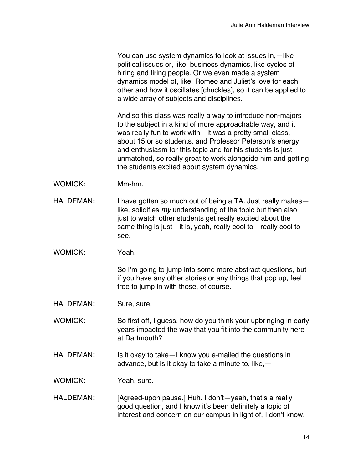You can use system dynamics to look at issues in,—like political issues or, like, business dynamics, like cycles of hiring and firing people. Or we even made a system dynamics model of, like, Romeo and Juliet's love for each other and how it oscillates [chuckles], so it can be applied to a wide array of subjects and disciplines.

And so this class was really a way to introduce non-majors to the subject in a kind of more approachable way, and it was really fun to work with—it was a pretty small class, about 15 or so students, and Professor Peterson's energy and enthusiasm for this topic and for his students is just unmatched, so really great to work alongside him and getting the students excited about system dynamics.

- WOMICK: Mm-hm.
- HALDEMAN: I have gotten so much out of being a TA. Just really makes like, solidifies *my* understanding of the topic but then also just to watch other students get really excited about the same thing is just—it is, yeah, really cool to—really cool to see.
- WOMICK: Yeah.

So I'm going to jump into some more abstract questions, but if you have any other stories or any things that pop up, feel free to jump in with those, of course.

HALDEMAN: Sure, sure.

WOMICK: So first off, I guess, how do you think your upbringing in early years impacted the way that you fit into the community here at Dartmouth?

HALDEMAN: Is it okay to take—I know you e-mailed the questions in advance, but is it okay to take a minute to, like,—

WOMICK: Yeah, sure.

HALDEMAN: [Agreed-upon pause.] Huh. I don't—yeah, that's a really good question, and I know it's been definitely a topic of interest and concern on our campus in light of, I don't know,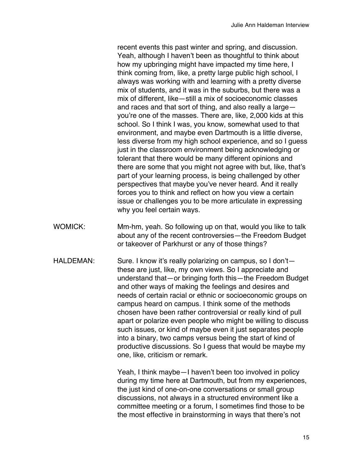recent events this past winter and spring, and discussion. Yeah, although I haven't been as thoughtful to think about how my upbringing might have impacted my time here, I think coming from, like, a pretty large public high school, I always was working with and learning with a pretty diverse mix of students, and it was in the suburbs, but there was a mix of different, like—still a mix of socioeconomic classes and races and that sort of thing, and also really a large you're one of the masses. There are, like, 2,000 kids at this school. So I think I was, you know, somewhat used to that environment, and maybe even Dartmouth is a little diverse, less diverse from my high school experience, and so I guess just in the classroom environment being acknowledging or tolerant that there would be many different opinions and there are some that you might not agree with but, like, that's part of your learning process, is being challenged by other perspectives that maybe you've never heard. And it really forces you to think and reflect on how you view a certain issue or challenges you to be more articulate in expressing why you feel certain ways.

- WOMICK: Mm-hm, yeah. So following up on that, would you like to talk about any of the recent controversies—the Freedom Budget or takeover of Parkhurst or any of those things?
- HALDEMAN: Sure. I know it's really polarizing on campus, so I don'tthese are just, like, my own views. So I appreciate and understand that—or bringing forth this—the Freedom Budget and other ways of making the feelings and desires and needs of certain racial or ethnic or socioeconomic groups on campus heard on campus. I think some of the methods chosen have been rather controversial or really kind of pull apart or polarize even people who might be willing to discuss such issues, or kind of maybe even it just separates people into a binary, two camps versus being the start of kind of productive discussions. So I guess that would be maybe my one, like, criticism or remark.

Yeah, I think maybe—I haven't been too involved in policy during my time here at Dartmouth, but from my experiences, the just kind of one-on-one conversations or small group discussions, not always in a structured environment like a committee meeting or a forum, I sometimes find those to be the most effective in brainstorming in ways that there's not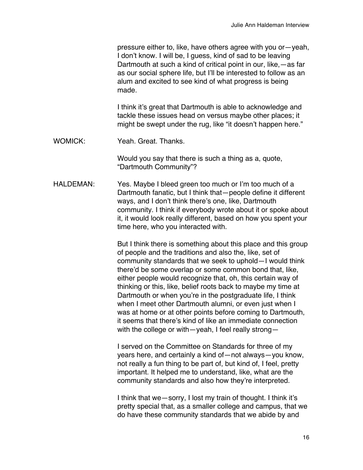pressure either to, like, have others agree with you or—yeah, I don't know. I will be, I guess, kind of sad to be leaving Dartmouth at such a kind of critical point in our, like,—as far as our social sphere life, but I'll be interested to follow as an alum and excited to see kind of what progress is being made.

I think it's great that Dartmouth is able to acknowledge and tackle these issues head on versus maybe other places; it might be swept under the rug, like "it doesn't happen here."

WOMICK: Yeah. Great. Thanks.

Would you say that there is such a thing as a, quote, "Dartmouth Community"?

HALDEMAN: Yes. Maybe I bleed green too much or I'm too much of a Dartmouth fanatic, but I think that—people define it different ways, and I don't think there's one, like, Dartmouth community. I think if everybody wrote about it or spoke about it, it would look really different, based on how you spent your time here, who you interacted with.

> But I think there is something about this place and this group of people and the traditions and also the, like, set of community standards that we seek to uphold—I would think there'd be some overlap or some common bond that, like, either people would recognize that, oh, this certain way of thinking or this, like, belief roots back to maybe my time at Dartmouth or when you're in the postgraduate life, I think when I meet other Dartmouth alumni, or even just when I was at home or at other points before coming to Dartmouth, it seems that there's kind of like an immediate connection with the college or with—yeah, I feel really strong—

I served on the Committee on Standards for three of my years here, and certainly a kind of—not always—you know, not really a fun thing to be part of, but kind of, I feel, pretty important. It helped me to understand, like, what are the community standards and also how they're interpreted.

I think that we—sorry, I lost my train of thought. I think it's pretty special that, as a smaller college and campus, that we do have these community standards that we abide by and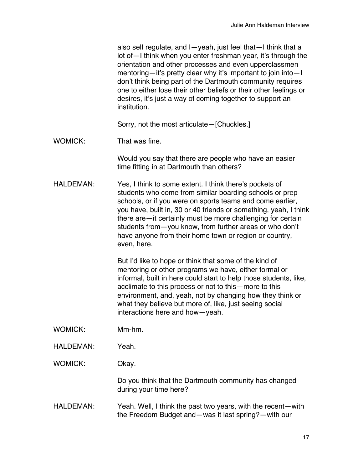also self regulate, and I—yeah, just feel that—I think that a lot of—I think when you enter freshman year, it's through the orientation and other processes and even upperclassmen mentoring—it's pretty clear why it's important to join into—I don't think being part of the Dartmouth community requires one to either lose their other beliefs or their other feelings or desires, it's just a way of coming together to support an institution.

Sorry, not the most articulate—[Chuckles.]

WOMICK: That was fine.

Would you say that there are people who have an easier time fitting in at Dartmouth than others?

HALDEMAN: Yes, I think to some extent. I think there's pockets of students who come from similar boarding schools or prep schools, or if you were on sports teams and come earlier, you have, built in, 30 or 40 friends or something, yeah, I think there are—it certainly must be more challenging for certain students from—you know, from further areas or who don't have anyone from their home town or region or country, even, here.

> But I'd like to hope or think that some of the kind of mentoring or other programs we have, either formal or informal, built in here could start to help those students, like, acclimate to this process or not to this—more to this environment, and, yeah, not by changing how they think or what they believe but more of, like, just seeing social interactions here and how—yeah.

- WOMICK: Mm-hm.
- HALDEMAN: Yeah.

WOMICK: Okay.

Do you think that the Dartmouth community has changed during your time here?

HALDEMAN: Yeah. Well, I think the past two years, with the recent—with the Freedom Budget and—was it last spring?—with our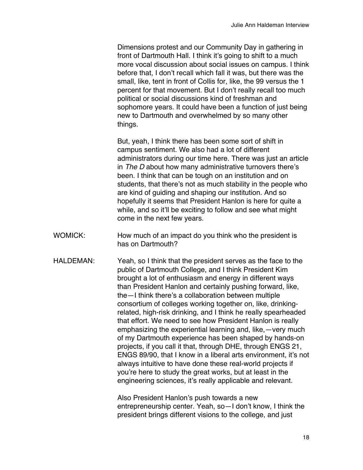Dimensions protest and our Community Day in gathering in front of Dartmouth Hall. I think it's going to shift to a much more vocal discussion about social issues on campus. I think before that, I don't recall which fall it was, but there was the small, like, tent in front of Collis for, like, the 99 versus the 1 percent for that movement. But I don't really recall too much political or social discussions kind of freshman and sophomore years. It could have been a function of just being new to Dartmouth and overwhelmed by so many other things.

But, yeah, I think there has been some sort of shift in campus sentiment. We also had a lot of different administrators during our time here. There was just an article in *The D* about how many administrative turnovers there's been. I think that can be tough on an institution and on students, that there's not as much stability in the people who are kind of guiding and shaping our institution. And so hopefully it seems that President Hanlon is here for quite a while, and so it'll be exciting to follow and see what might come in the next few years.

- WOMICK: How much of an impact do you think who the president is has on Dartmouth?
- HALDEMAN: Yeah, so I think that the president serves as the face to the public of Dartmouth College, and I think President Kim brought a lot of enthusiasm and energy in different ways than President Hanlon and certainly pushing forward, like, the—I think there's a collaboration between multiple consortium of colleges working together on, like, drinkingrelated, high-risk drinking, and I think he really spearheaded that effort. We need to see how President Hanlon is really emphasizing the experiential learning and, like,—very much of my Dartmouth experience has been shaped by hands-on projects, if you call it that, through DHE, through ENGS 21, ENGS 89/90, that I know in a liberal arts environment, it's not always intuitive to have done these real-world projects if you're here to study the great works, but at least in the engineering sciences, it's really applicable and relevant.

Also President Hanlon's push towards a new entrepreneurship center. Yeah, so—I don't know, I think the president brings different visions to the college, and just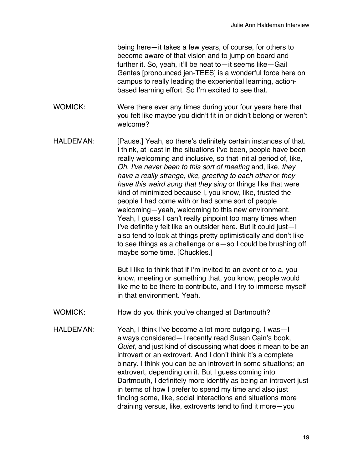being here—it takes a few years, of course, for others to become aware of that vision and to jump on board and further it. So, yeah, it'll be neat to—it seems like—Gail Gentes [pronounced jen-TEES] is a wonderful force here on campus to really leading the experiential learning, actionbased learning effort. So I'm excited to see that.

- WOMICK: Were there ever any times during your four years here that you felt like maybe you didn't fit in or didn't belong or weren't welcome?
- HALDEMAN: [Pause.] Yeah, so there's definitely certain instances of that. I think, at least in the situations I've been, people have been really welcoming and inclusive, so that initial period of, like, *Oh, I've never been to this sort of meeting* and, like, *they have a really strange, like, greeting to each other* or *they have this weird song that they sing* or things like that were kind of minimized because I, you know, like, trusted the people I had come with or had some sort of people welcoming—yeah, welcoming to this new environment. Yeah, I guess I can't really pinpoint too many times when I've definitely felt like an outsider here. But it could just—I also tend to look at things pretty optimistically and don't like to see things as a challenge or a—so I could be brushing off maybe some time. [Chuckles.]

But I like to think that if I'm invited to an event or to a, you know, meeting or something that, you know, people would like me to be there to contribute, and I try to immerse myself in that environment. Yeah.

- WOMICK: How do you think you've changed at Dartmouth?
- HALDEMAN: Yeah, I think I've become a lot more outgoing. I was—I always considered—I recently read Susan Cain's book, *Quiet*, and just kind of discussing what does it mean to be an introvert or an extrovert. And I don't think it's a complete binary. I think you can be an introvert in some situations; an extrovert, depending on it. But I guess coming into Dartmouth, I definitely more identify as being an introvert just in terms of how I prefer to spend my time and also just finding some, like, social interactions and situations more draining versus, like, extroverts tend to find it more—you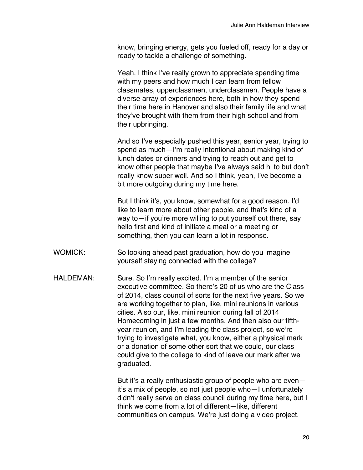know, bringing energy, gets you fueled off, ready for a day or ready to tackle a challenge of something.

Yeah, I think I've really grown to appreciate spending time with my peers and how much I can learn from fellow classmates, upperclassmen, underclassmen. People have a diverse array of experiences here, both in how they spend their time here in Hanover and also their family life and what they've brought with them from their high school and from their upbringing.

And so I've especially pushed this year, senior year, trying to spend as much—I'm really intentional about making kind of lunch dates or dinners and trying to reach out and get to know other people that maybe I've always said hi to but don't really know super well. And so I think, yeah, I've become a bit more outgoing during my time here.

But I think it's, you know, somewhat for a good reason. I'd like to learn more about other people, and that's kind of a way to—if you're more willing to put yourself out there, say hello first and kind of initiate a meal or a meeting or something, then you can learn a lot in response.

- WOMICK: So looking ahead past graduation, how do you imagine yourself staying connected with the college?
- HALDEMAN: Sure. So I'm really excited. I'm a member of the senior executive committee. So there's 20 of us who are the Class of 2014, class council of sorts for the next five years. So we are working together to plan, like, mini reunions in various cities. Also our, like, mini reunion during fall of 2014 Homecoming in just a few months. And then also our fifthyear reunion, and I'm leading the class project, so we're trying to investigate what, you know, either a physical mark or a donation of some other sort that we could, our class could give to the college to kind of leave our mark after we graduated.

But it's a really enthusiastic group of people who are even it's a mix of people, so not just people who—I unfortunately didn't really serve on class council during my time here, but I think we come from a lot of different—like, different communities on campus. We're just doing a video project.